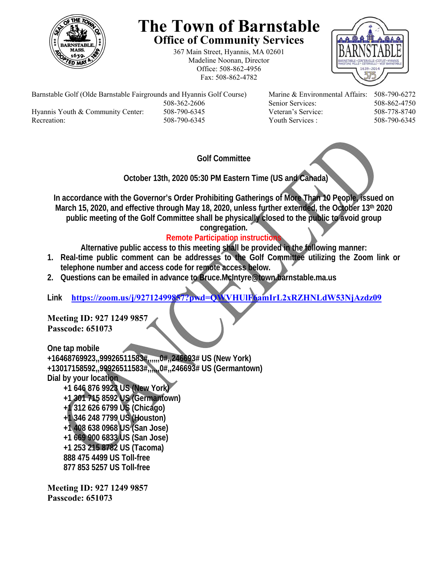

# **The Town of Barnstable Office of Community Services**

367 Main Street, Hyannis, MA 02601 Madeline Noonan, Director Office: 508-862-4956 Fax: 508-862-4782



Barnstable Golf (Olde Barnstable Fairgrounds and Hyannis Golf Course) Marine & Environmental Affairs: 508-790-6272 508-362-2606 Senior Services: 508-862-4750 Hyannis Youth & Community Center: 508-790-6345 Veteran's Service: 508-778-8740

Recreation: 508-790-6345 Youth Services : 508-790-6345 S08-790-6345

## **Golf Committee**

 **October 13th, 2020 05:30 PM Eastern Time (US and Canada)** 

**In accordance with the Governor's Order Prohibiting Gatherings of More Than 10 People, issued on March 15, 2020, and effective through May 18, 2020, unless further extended, the October 13th 2020 public meeting of the Golf Committee shall be physically closed to the public to avoid group** 

**congregation.** 

# **Remote Participation instructions**

**Alternative public access to this meeting shall be provided in the following manner:** 

- **1. Real-time public comment can be addresses to the Golf Committee utilizing the Zoom link or telephone number and access code for remote access below.**
- **2. Questions can be emailed in advance to Bruce.McIntyre@town.barnstable.ma.us**

**Link https://zoom.us/j/92712499857?pwd=QWVHUlF6amIrL2xRZHNLdW53NjAzdz09**

#### **Meeting ID: 927 1249 9857 Passcode: 651073**

**One tap mobile** 

**+16468769923,,99926511583#,,,,,,0#,,246693# US (New York) +13017158592,,99926511583#,,,,,,0#,,246693# US (Germantown) Dial by your location** 

 **+1 646 876 9923 US (New York) +1 301 715 8592 US (Germantown) +1 312 626 6799 US (Chicago) +1 346 248 7799 US (Houston) +1 408 638 0968 US (San Jose) +1 669 900 6833 US (San Jose) +1 253 215 8782 US (Tacoma) 888 475 4499 US Toll-free 877 853 5257 US Toll-free** 

**Meeting ID: 927 1249 9857 Passcode: 651073**